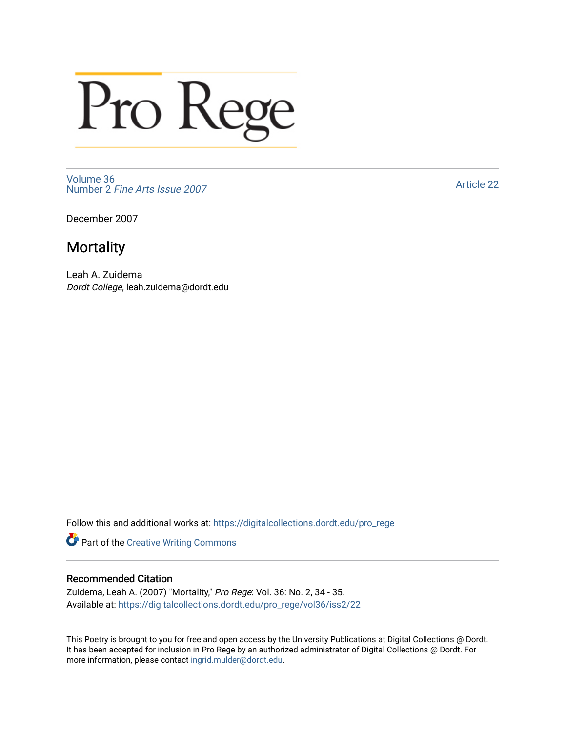## Pro Rege

[Volume 36](https://digitalcollections.dordt.edu/pro_rege/vol36) Number 2 [Fine Arts Issue 2007](https://digitalcollections.dordt.edu/pro_rege/vol36/iss2) 

[Article 22](https://digitalcollections.dordt.edu/pro_rege/vol36/iss2/22) 

December 2007

## **Mortality**

Leah A. Zuidema Dordt College, leah.zuidema@dordt.edu

Follow this and additional works at: [https://digitalcollections.dordt.edu/pro\\_rege](https://digitalcollections.dordt.edu/pro_rege?utm_source=digitalcollections.dordt.edu%2Fpro_rege%2Fvol36%2Fiss2%2F22&utm_medium=PDF&utm_campaign=PDFCoverPages) 

Part of the [Creative Writing Commons](http://network.bepress.com/hgg/discipline/574?utm_source=digitalcollections.dordt.edu%2Fpro_rege%2Fvol36%2Fiss2%2F22&utm_medium=PDF&utm_campaign=PDFCoverPages) 

## Recommended Citation

Zuidema, Leah A. (2007) "Mortality," Pro Rege: Vol. 36: No. 2, 34 - 35. Available at: [https://digitalcollections.dordt.edu/pro\\_rege/vol36/iss2/22](https://digitalcollections.dordt.edu/pro_rege/vol36/iss2/22?utm_source=digitalcollections.dordt.edu%2Fpro_rege%2Fvol36%2Fiss2%2F22&utm_medium=PDF&utm_campaign=PDFCoverPages)

This Poetry is brought to you for free and open access by the University Publications at Digital Collections @ Dordt. It has been accepted for inclusion in Pro Rege by an authorized administrator of Digital Collections @ Dordt. For more information, please contact [ingrid.mulder@dordt.edu.](mailto:ingrid.mulder@dordt.edu)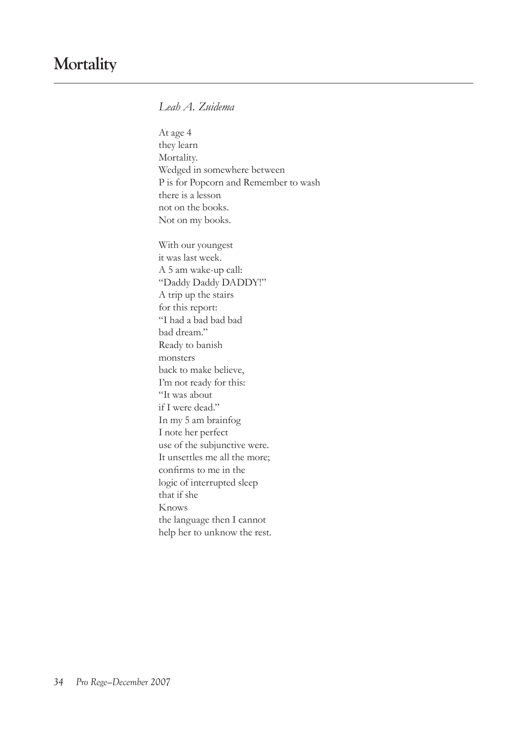*Leah A. Zuidema*

At age 4 they learn Mortality. Wedged in somewhere between P is for Popcorn and Remember to wash there is a lesson not on the books. Not on my books.

With our youngest it was last week. A 5 am wake-up call: "Daddy Daddy DADDY!" A trip up the stairs for this report: "I had a bad bad bad bad dream." Ready to banish monsters back to make believe, I'm not ready for this: "It was about if I were dead." In my 5 am brainfog I note her perfect use of the subjunctive were. It unsettles me all the more; confirms to me in the logic of interrupted sleep that if she Knows the language then I cannot help her to unknow the rest.